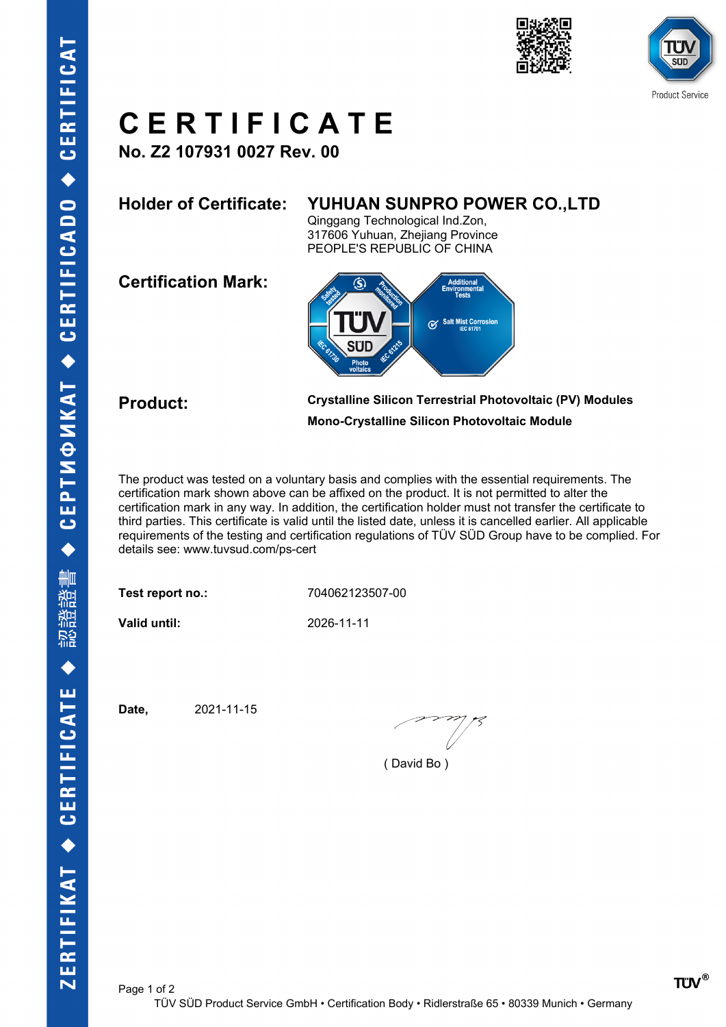



# **C E R T I F I C A T E**

**No. Z2 107931 0027 Rev. 00**

### **Holder of Certificate: YUHUAN SUNPRO POWER CO.,LTD**

Qinggang Technological Ind.Zon, 317606 Yuhuan, Zhejiang Province PEOPLE'S REPUBLIC OF CHINA

**Certification Mark:**



**Product: Crystalline Silicon Terrestrial Photovoltaic (PV) Modules Mono-Crystalline Silicon Photovoltaic Module**

The product was tested on a voluntary basis and complies with the essential requirements. The certification mark shown above can be affixed on the product. It is not permitted to alter the certification mark in any way. In addition, the certification holder must not transfer the certificate to third parties. This certificate is valid until the listed date, unless it is cancelled earlier. All applicable requirements of the testing and certification regulations of TÜV SÜD Group have to be complied. For details see: www.tuvsud.com/ps-cert

**Test report no.:** 704062123507-00

**Valid until:** 2026-11-11

**Date,** 2021-11-15

( David Bo )